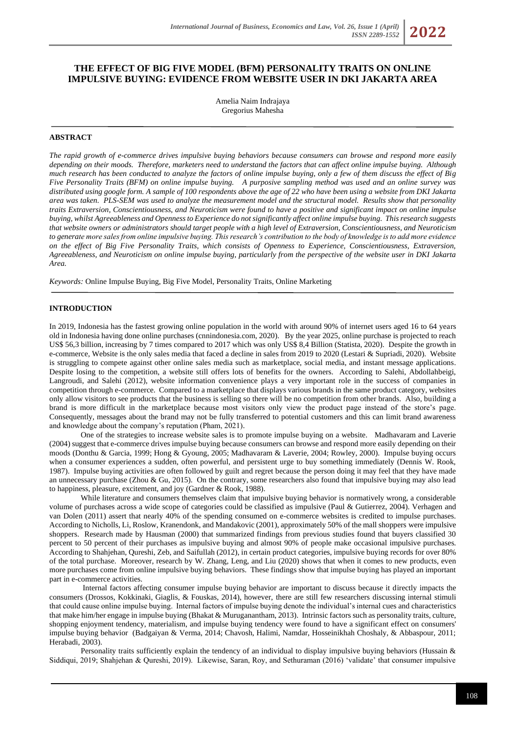# **THE EFFECT OF BIG FIVE MODEL (BFM) PERSONALITY TRAITS ON ONLINE IMPULSIVE BUYING: EVIDENCE FROM WEBSITE USER IN DKI JAKARTA AREA**

Amelia Naim Indrajaya Gregorius Mahesha

# **ABSTRACT**

*The rapid growth of e-commerce drives impulsive buying behaviors because consumers can browse and respond more easily depending on their moods. Therefore, marketers need to understand the factors that can affect online impulse buying. Although much research has been conducted to analyze the factors of online impulse buying, only a few of them discuss the effect of Big Five Personality Traits (BFM) on online impulse buying. A purposive sampling method was used and an online survey was distributed using google form. A sample of 100 respondents above the age of 22 who have been using a website from DKI Jakarta area was taken. PLS-SEM was used to analyze the measurement model and the structural model. Results show that personality traits Extraversion, Conscientiousness, and Neuroticism were found to have a positive and significant impact on online impulse buying, whilst Agreeableness and Openness to Experience do not significantly affect online impulse buying. This research suggests that website owners or administrators should target people with a high level of Extraversion, Conscientiousness, and Neuroticism to generate more sales from online impulsive buying. This research's contribution to the body of knowledge is to add more evidence on the effect of Big Five Personality Traits, which consists of Openness to Experience, Conscientiousness, Extraversion, Agreeableness, and Neuroticism on online impulse buying, particularly from the perspective of the website user in DKI Jakarta Area.*

*Keywords:* Online Impulse Buying, Big Five Model, Personality Traits, Online Marketing

# **INTRODUCTION**

In 2019, Indonesia has the fastest growing online population in the world with around 90% of internet users aged 16 to 64 years old in Indonesia having done online purchases (cnnindonesia.com, 2020). By the year 2025, online purchase is projected to reach US\$ 56,3 billion, increasing by 7 times compared to 2017 which was only US\$ 8,4 Billion (Statista, 2020). Despite the growth in e-commerce, Website is the only sales media that faced a decline in sales from 2019 to 2020 (Lestari & Supriadi, 2020). Website is struggling to compete against other online sales media such as marketplace, social media, and instant message applications. Despite losing to the competition, a website still offers lots of benefits for the owners. According to Salehi, Abdollahbeigi, Langroudi, and Salehi (2012), website information convenience plays a very important role in the success of companies in competition through e-commerce. Compared to a marketplace that displays various brands in the same product category, websites only allow visitors to see products that the business is selling so there will be no competition from other brands. Also, building a brand is more difficult in the marketplace because most visitors only view the product page instead of the store's page. Consequently, messages about the brand may not be fully transferred to potential customers and this can limit brand awareness and knowledge about the company's reputation (Pham, 2021).

One of the strategies to increase website sales is to promote impulse buying on a website. Madhavaram and Laverie (2004) suggest that e-commerce drives impulse buying because consumers can browse and respond more easily depending on their moods (Donthu & Garcia, 1999; Hong & Gyoung, 2005; Madhavaram & Laverie, 2004; Rowley, 2000). Impulse buying occurs when a consumer experiences a sudden, often powerful, and persistent urge to buy something immediately (Dennis W. Rook, 1987). Impulse buying activities are often followed by guilt and regret because the person doing it may feel that they have made an unnecessary purchase (Zhou & Gu, 2015). On the contrary, some researchers also found that impulsive buying may also lead to happiness, pleasure, excitement, and joy (Gardner & Rook, 1988).

While literature and consumers themselves claim that impulsive buying behavior is normatively wrong, a considerable volume of purchases across a wide scope of categories could be classified as impulsive (Paul & Gutierrez, 2004). Verhagen and van Dolen (2011) assert that nearly 40% of the spending consumed on e-commerce websites is credited to impulse purchases. According to Nicholls, Li, Roslow, Kranendonk, and Mandakovic (2001), approximately 50% of the mall shoppers were impulsive shoppers. Research made by Hausman (2000) that summarized findings from previous studies found that buyers classified 30 percent to 50 percent of their purchases as impulsive buying and almost 90% of people make occasional impulsive purchases. According to Shahjehan, Qureshi, Zeb, and Saifullah (2012), in certain product categories, impulsive buying records for over 80% of the total purchase. Moreover, research by W. Zhang, Leng, and Liu (2020) shows that when it comes to new products, even more purchases come from online impulsive buying behaviors. These findings show that impulse buying has played an important part in e-commerce activities.

Internal factors affecting consumer impulse buying behavior are important to discuss because it directly impacts the consumers (Drossos, Kokkinaki, Giaglis, & Fouskas, 2014), however, there are still few researchers discussing internal stimuli that could cause online impulse buying. Internal factors of impulse buying denote the individual's internal cues and characteristics that make him/her engage in impulse buying (Bhakat & Muruganantham, 2013). Intrinsic factors such as personality traits, culture, shopping enjoyment tendency, materialism, and impulse buying tendency were found to have a significant effect on consumers' impulse buying behavior (Badgaiyan & Verma, 2014; Chavosh, Halimi, Namdar, Hosseinikhah Choshaly, & Abbaspour, 2011; Herabadi, 2003).

Personality traits sufficiently explain the tendency of an individual to display impulsive buying behaviors (Hussain & Siddiqui, 2019; Shahjehan & Qureshi, 2019). Likewise, Saran, Roy, and Sethuraman (2016) 'validate' that consumer impulsive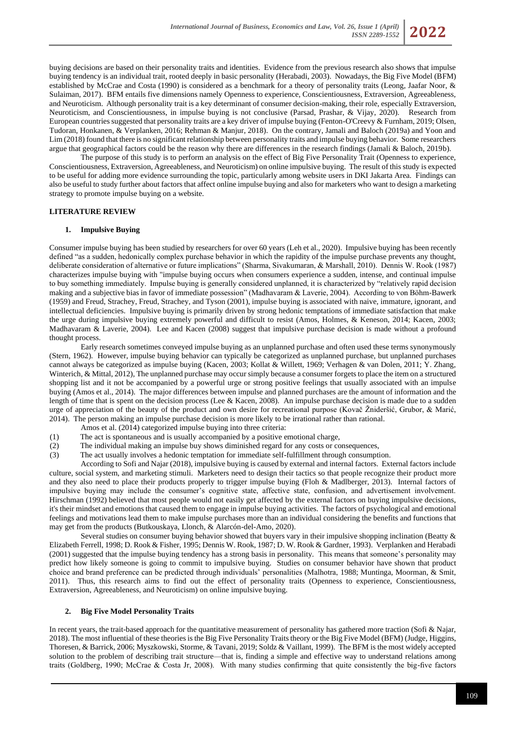*ISSN 2289-1552* **2022**

buying decisions are based on their personality traits and identities. Evidence from the previous research also shows that impulse buying tendency is an individual trait, rooted deeply in basic personality (Herabadi, 2003). Nowadays, the Big Five Model (BFM) established by McCrae and Costa (1990) is considered as a benchmark for a theory of personality traits (Leong, Jaafar Noor, & Sulaiman, 2017). BFM entails five dimensions namely Openness to experience, Conscientiousness, Extraversion, Agreeableness, and Neuroticism. Although personality trait is a key determinant of consumer decision-making, their role, especially Extraversion, Neuroticism, and Conscientiousness, in impulse buying is not conclusive (Parsad, Prashar, & Vijay, 2020). Research from European countries suggested that personality traits are a key driver of impulse buying (Fenton-O'Creevy & Furnham, 2019; Olsen, Tudoran, Honkanen, & Verplanken, 2016; Rehman & Manjur, 2018). On the contrary, Jamali and Baloch (2019a) and Yoon and Lim (2018) found that there is no significant relationship between personality traits and impulse buying behavior. Some researchers argue that geographical factors could be the reason why there are differences in the research findings (Jamali & Baloch, 2019b).

The purpose of this study is to perform an analysis on the effect of Big Five Personality Trait (Openness to experience, Conscientiousness, Extraversion, Agreeableness, and Neuroticism) on online impulsive buying. The result of this study is expected to be useful for adding more evidence surrounding the topic, particularly among website users in DKI Jakarta Area. Findings can also be useful to study further about factors that affect online impulse buying and also for marketers who want to design a marketing strategy to promote impulse buying on a website.

### **LITERATURE REVIEW**

#### **1. Impulsive Buying**

Consumer impulse buying has been studied by researchers for over 60 years (Leh et al., 2020). Impulsive buying has been recently defined "as a sudden, hedonically complex purchase behavior in which the rapidity of the impulse purchase prevents any thought, deliberate consideration of alternative or future implications" (Sharma, Sivakumaran, & Marshall, 2010). Dennis W. Rook (1987) characterizes impulse buying with "impulse buying occurs when consumers experience a sudden, intense, and continual impulse to buy something immediately. Impulse buying is generally considered unplanned, it is characterized by "relatively rapid decision making and a subjective bias in favor of immediate possession" (Madhavaram & Laverie, 2004). According to von Böhm-Bawerk (1959) and Freud, Strachey, Freud, Strachey, and Tyson (2001), impulse buying is associated with naive, immature, ignorant, and intellectual deficiencies. Impulsive buying is primarily driven by strong hedonic temptations of immediate satisfaction that make the urge during impulsive buying extremely powerful and difficult to resist (Amos, Holmes, & Keneson, 2014; Kacen, 2003; Madhavaram & Laverie, 2004). Lee and Kacen (2008) suggest that impulsive purchase decision is made without a profound thought process.

Early research sometimes conveyed impulse buying as an unplanned purchase and often used these terms synonymously (Stern, 1962). However, impulse buying behavior can typically be categorized as unplanned purchase, but unplanned purchases cannot always be categorized as impulse buying (Kacen, 2003; Kollat & Willett, 1969; Verhagen & van Dolen, 2011; Y. Zhang, Winterich, & Mittal, 2012), The unplanned purchase may occur simply because a consumer forgets to place the item on a structured shopping list and it not be accompanied by a powerful urge or strong positive feelings that usually associated with an impulse buying (Amos et al., 2014). The major differences between impulse and planned purchases are the amount of information and the length of time that is spent on the decision process (Lee & Kacen, 2008). An impulse purchase decision is made due to a sudden urge of appreciation of the beauty of the product and own desire for recreational purpose (Kovač Žnideršić, Grubor, & Marić, 2014). The person making an impulse purchase decision is more likely to be irrational rather than rational.

- Amos et al. (2014) categorized impulse buying into three criteria:
- (1) The act is spontaneous and is usually accompanied by a positive emotional charge,
- (2) The individual making an impulse buy shows diminished regard for any costs or consequences,
- (3) The act usually involves a hedonic temptation for immediate self-fulfillment through consumption.

According to Sofi and Najar (2018), impulsive buying is caused by external and internal factors. External factors include culture, social system, and marketing stimuli. Marketers need to design their tactics so that people recognize their product more and they also need to place their products properly to trigger impulse buying (Floh & Madlberger, 2013). Internal factors of impulsive buying may include the consumer's cognitive state, affective state, confusion, and advertisement involvement. Hirschman (1992) believed that most people would not easily get affected by the external factors on buying impulsive decisions, it's their mindset and emotions that caused them to engage in impulse buying activities. The factors of psychological and emotional feelings and motivations lead them to make impulse purchases more than an individual considering the benefits and functions that may get from the products (Butkouskaya, Llonch, & Alarcón-del-Amo, 2020).

Several studies on consumer buying behavior showed that buyers vary in their impulsive shopping inclination (Beatty & Elizabeth Ferrell, 1998; D. Rook & Fisher, 1995; Dennis W. Rook, 1987; D. W. Rook & Gardner, 1993). Verplanken and Herabadi (2001) suggested that the impulse buying tendency has a strong basis in personality. This means that someone's personality may predict how likely someone is going to commit to impulsive buying. Studies on consumer behavior have shown that product choice and brand preference can be predicted through individuals' personalities (Malhotra, 1988; Muntinga, Moorman, & Smit, 2011). Thus, this research aims to find out the effect of personality traits (Openness to experience, Conscientiousness, Extraversion, Agreeableness, and Neuroticism) on online impulsive buying.

#### **2. Big Five Model Personality Traits**

In recent years, the trait-based approach for the quantitative measurement of personality has gathered more traction (Sofi & Najar, 2018). The most influential of these theories is the Big Five Personality Traits theory or the Big Five Model (BFM) (Judge, Higgins, Thoresen, & Barrick, 2006; Myszkowski, Storme, & Tavani, 2019; Soldz & Vaillant, 1999). The BFM is the most widely accepted solution to the problem of describing trait structure—that is, finding a simple and effective way to understand relations among traits (Goldberg, 1990; McCrae & Costa Jr, 2008). With many studies confirming that quite consistently the big-five factors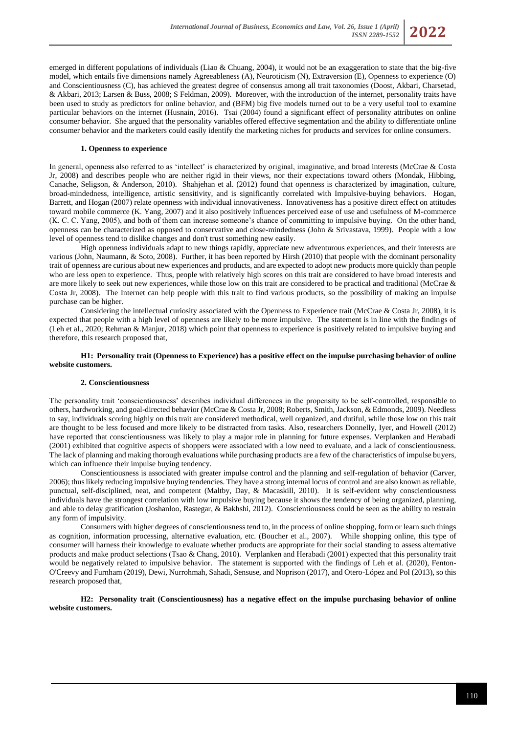emerged in different populations of individuals (Liao & Chuang, 2004), it would not be an exaggeration to state that the big-five model, which entails five dimensions namely Agreeableness (A), Neuroticism (N), Extraversion (E), Openness to experience (O) and Conscientiousness (C), has achieved the greatest degree of consensus among all trait taxonomies (Doost, Akbari, Charsetad, & Akbari, 2013; Larsen & Buss, 2008; S Feldman, 2009). Moreover, with the introduction of the internet, personality traits have been used to study as predictors for online behavior, and (BFM) big five models turned out to be a very useful tool to examine particular behaviors on the internet (Husnain, 2016). Tsai (2004) found a significant effect of personality attributes on online consumer behavior. She argued that the personality variables offered effective segmentation and the ability to differentiate online consumer behavior and the marketers could easily identify the marketing niches for products and services for online consumers.

### **1. Openness to experience**

In general, openness also referred to as 'intellect' is characterized by original, imaginative, and broad interests (McCrae & Costa Jr, 2008) and describes people who are neither rigid in their views, nor their expectations toward others (Mondak, Hibbing, Canache, Seligson, & Anderson, 2010). Shahjehan et al. (2012) found that openness is characterized by imagination, culture, broad-mindedness, intelligence, artistic sensitivity, and is significantly correlated with Impulsive-buying behaviors. Hogan, Barrett, and Hogan (2007) relate openness with individual innovativeness. Innovativeness has a positive direct effect on attitudes toward mobile commerce (K. Yang, 2007) and it also positively influences perceived ease of use and usefulness of M-commerce (K. C. C. Yang, 2005), and both of them can increase someone's chance of committing to impulsive buying. On the other hand, openness can be characterized as opposed to conservative and close-mindedness (John & Srivastava, 1999). People with a low level of openness tend to dislike changes and don't trust something new easily.

High openness individuals adapt to new things rapidly, appreciate new adventurous experiences, and their interests are various (John, Naumann, & Soto, 2008). Further, it has been reported by Hirsh (2010) that people with the dominant personality trait of openness are curious about new experiences and products, and are expected to adopt new products more quickly than people who are less open to experience. Thus, people with relatively high scores on this trait are considered to have broad interests and are more likely to seek out new experiences, while those low on this trait are considered to be practical and traditional (McCrae & Costa Jr, 2008). The Internet can help people with this trait to find various products, so the possibility of making an impulse purchase can be higher.

Considering the intellectual curiosity associated with the Openness to Experience trait (McCrae & Costa Jr, 2008), it is expected that people with a high level of openness are likely to be more impulsive. The statement is in line with the findings of (Leh et al., 2020; Rehman & Manjur, 2018) which point that openness to experience is positively related to impulsive buying and therefore, this research proposed that,

### **H1: Personality trait (Openness to Experience) has a positive effect on the impulse purchasing behavior of online website customers.**

#### **2. Conscientiousness**

The personality trait 'conscientiousness' describes individual differences in the propensity to be self-controlled, responsible to others, hardworking, and goal-directed behavior (McCrae & Costa Jr, 2008; Roberts, Smith, Jackson, & Edmonds, 2009). Needless to say, individuals scoring highly on this trait are considered methodical, well organized, and dutiful, while those low on this trait are thought to be less focused and more likely to be distracted from tasks. Also, researchers Donnelly, Iyer, and Howell (2012) have reported that conscientiousness was likely to play a major role in planning for future expenses. Verplanken and Herabadi (2001) exhibited that cognitive aspects of shoppers were associated with a low need to evaluate, and a lack of conscientiousness. The lack of planning and making thorough evaluations while purchasing products are a few of the characteristics of impulse buyers, which can influence their impulse buying tendency.

Conscientiousness is associated with greater impulse control and the planning and self-regulation of behavior (Carver, 2006); thus likely reducing impulsive buying tendencies. They have a strong internal locus of control and are also known as reliable, punctual, self-disciplined, neat, and competent (Maltby, Day, & Macaskill, 2010). It is self-evident why conscientiousness individuals have the strongest correlation with low impulsive buying because it shows the tendency of being organized, planning, and able to delay gratification (Joshanloo, Rastegar, & Bakhshi, 2012). Conscientiousness could be seen as the ability to restrain any form of impulsivity.

Consumers with higher degrees of conscientiousness tend to, in the process of online shopping, form or learn such things as cognition, information processing, alternative evaluation, etc. (Boucher et al., 2007). While shopping online, this type of consumer will harness their knowledge to evaluate whether products are appropriate for their social standing to assess alternative products and make product selections (Tsao & Chang, 2010). Verplanken and Herabadi (2001) expected that this personality trait would be negatively related to impulsive behavior. The statement is supported with the findings of Leh et al. (2020), Fenton-O'Creevy and Furnham (2019), Dewi, Nurrohmah, Sahadi, Sensuse, and Noprison (2017), and Otero-López and Pol (2013), so this research proposed that,

**H2: Personality trait (Conscientiousness) has a negative effect on the impulse purchasing behavior of online website customers.**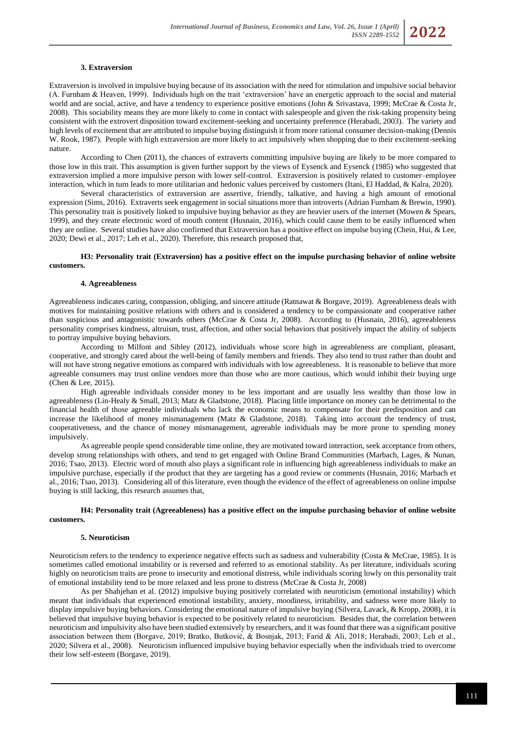#### **3. Extraversion**

Extraversion is involved in impulsive buying because of its association with the need for stimulation and impulsive social behavior (A. Furnham & Heaven, 1999). Individuals high on the trait 'extraversion' have an energetic approach to the social and material world and are social, active, and have a tendency to experience positive emotions (John & Srivastava, 1999; McCrae & Costa Jr, 2008). This sociability means they are more likely to come in contact with salespeople and given the risk-taking propensity being consistent with the extrovert disposition toward excitement-seeking and uncertainty preference (Herabadi, 2003). The variety and high levels of excitement that are attributed to impulse buying distinguish it from more rational consumer decision-making (Dennis W. Rook, 1987). People with high extraversion are more likely to act impulsively when shopping due to their excitement-seeking nature.

According to Chen (2011), the chances of extraverts committing impulsive buying are likely to be more compared to those low in this trait. This assumption is given further support by the views of Eysenck and Eysenck (1985) who suggested that extraversion implied a more impulsive person with lower self-control. Extraversion is positively related to customer–employee interaction, which in turn leads to more utilitarian and hedonic values perceived by customers (Itani, El Haddad, & Kalra, 2020).

Several characteristics of extraversion are assertive, friendly, talkative, and having a high amount of emotional expression (Sims, 2016). Extraverts seek engagement in social situations more than introverts (Adrian Furnham & Brewin, 1990). This personality trait is positively linked to impulsive buying behavior as they are heavier users of the internet (Mowen & Spears, 1999), and they create electronic word of mouth content (Husnain, 2016), which could cause them to be easily influenced when they are online. Several studies have also confirmed that Extraversion has a positive effect on impulse buying (Chein, Hui, & Lee, 2020; Dewi et al., 2017; Leh et al., 2020). Therefore, this research proposed that,

### **H3: Personality trait (Extraversion) has a positive effect on the impulse purchasing behavior of online website customers.**

#### **4. Agreeableness**

Agreeableness indicates caring, compassion, obliging, and sincere attitude (Ratnawat & Borgave, 2019). Agreeableness deals with motives for maintaining positive relations with others and is considered a tendency to be compassionate and cooperative rather than suspicious and antagonistic towards others (McCrae & Costa Jr, 2008). According to (Husnain, 2016), agreeableness personality comprises kindness, altruism, trust, affection, and other social behaviors that positively impact the ability of subjects to portray impulsive buying behaviors.

According to Milfont and Sibley (2012), individuals whose score high in agreeableness are compliant, pleasant, cooperative, and strongly cared about the well-being of family members and friends. They also tend to trust rather than doubt and will not have strong negative emotions as compared with individuals with low agreeableness. It is reasonable to believe that more agreeable consumers may trust online vendors more than those who are more cautious, which would inhibit their buying urge (Chen & Lee, 2015).

High agreeable individuals consider money to be less important and are usually less wealthy than those low in agreeableness (Lin-Healy & Small, 2013; Matz & Gladstone, 2018). Placing little importance on money can be detrimental to the financial health of those agreeable individuals who lack the economic means to compensate for their predisposition and can increase the likelihood of money mismanagement (Matz & Gladstone, 2018). Taking into account the tendency of trust, cooperativeness, and the chance of money mismanagement, agreeable individuals may be more prone to spending money impulsively.

As agreeable people spend considerable time online, they are motivated toward interaction, seek acceptance from others, develop strong relationships with others, and tend to get engaged with Online Brand Communities (Marbach, Lages, & Nunan, 2016; Tsao, 2013). Electric word of mouth also plays a significant role in influencing high agreeableness individuals to make an impulsive purchase, especially if the product that they are targeting has a good review or comments (Husnain, 2016; Marbach et al., 2016; Tsao, 2013). Considering all of this literature, even though the evidence of the effect of agreeableness on online impulse buying is still lacking, this research assumes that,

### **H4: Personality trait (Agreeableness) has a positive effect on the impulse purchasing behavior of online website customers.**

### **5. Neuroticism**

Neuroticism refers to the tendency to experience negative effects such as sadness and vulnerability (Costa & McCrae, 1985). It is sometimes called emotional instability or is reversed and referred to as emotional stability. As per literature, individuals scoring highly on neuroticism traits are prone to insecurity and emotional distress, while individuals scoring lowly on this personality trait of emotional instability tend to be more relaxed and less prone to distress (McCrae & Costa Jr, 2008)

As per Shahjehan et al. (2012) impulsive buying positively correlated with neuroticism (emotional instability) which meant that individuals that experienced emotional instability, anxiety, moodiness, irritability, and sadness were more likely to display impulsive buying behaviors. Considering the emotional nature of impulsive buying (Silvera, Lavack, & Kropp, 2008), it is believed that impulsive buying behavior is expected to be positively related to neuroticism. Besides that, the correlation between neuroticism and impulsivity also have been studied extensively by researchers, and it was found that there was a significant positive association between them (Borgave, 2019; Bratko, Butković, & Bosnjak, 2013; Farid & Ali, 2018; Herabadi, 2003; Leh et al., 2020; Silvera et al., 2008). Neuroticism influenced impulsive buying behavior especially when the individuals tried to overcome their low self-esteem (Borgave, 2019).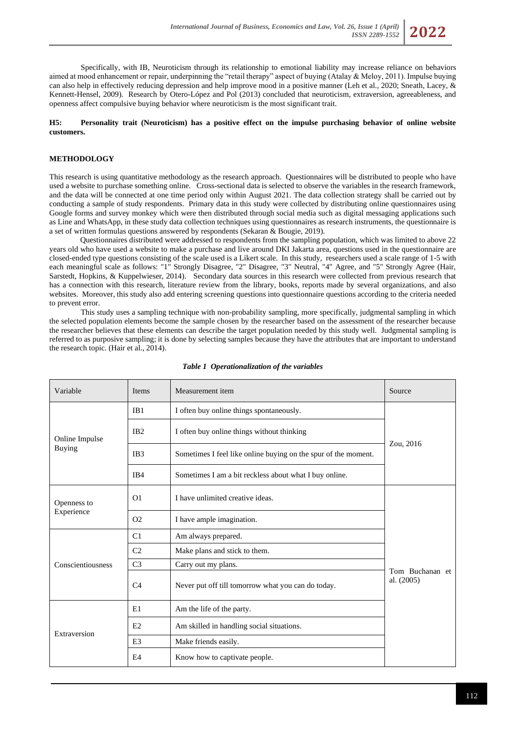

Specifically, with IB, Neuroticism through its relationship to emotional liability may increase reliance on behaviors aimed at mood enhancement or repair, underpinning the "retail therapy" aspect of buying (Atalay & Meloy, 2011). Impulse buying can also help in effectively reducing depression and help improve mood in a positive manner (Leh et al., 2020; Sneath, Lacey, & Kennett-Hensel, 2009). Research by Otero-López and Pol (2013) concluded that neuroticism, extraversion, agreeableness, and openness affect compulsive buying behavior where neuroticism is the most significant trait.

**H5: Personality trait (Neuroticism) has a positive effect on the impulse purchasing behavior of online website customers.** 

# **METHODOLOGY**

This research is using quantitative methodology as the research approach. Questionnaires will be distributed to people who have used a website to purchase something online. Cross-sectional data is selected to observe the variables in the research framework, and the data will be connected at one time period only within August 2021. The data collection strategy shall be carried out by conducting a sample of study respondents. Primary data in this study were collected by distributing online questionnaires using Google forms and survey monkey which were then distributed through social media such as digital messaging applications such as Line and WhatsApp, in these study data collection techniques using questionnaires as research instruments, the questionnaire is a set of written formulas questions answered by respondents (Sekaran & Bougie, 2019).

Questionnaires distributed were addressed to respondents from the sampling population, which was limited to above 22 years old who have used a website to make a purchase and live around DKI Jakarta area, questions used in the questionnaire are closed-ended type questions consisting of the scale used is a Likert scale. In this study, researchers used a scale range of 1-5 with each meaningful scale as follows: "1" Strongly Disagree, "2" Disagree, "3" Neutral, "4" Agree, and "5" Strongly Agree (Hair, Sarstedt, Hopkins, & Kuppelwieser, 2014). Secondary data sources in this research were collected from previous research that has a connection with this research, literature review from the library, books, reports made by several organizations, and also websites. Moreover, this study also add entering screening questions into questionnaire questions according to the criteria needed to prevent error.

This study uses a sampling technique with non-probability sampling, more specifically, judgmental sampling in which the selected population elements become the sample chosen by the researcher based on the assessment of the researcher because the researcher believes that these elements can describe the target population needed by this study well. Judgmental sampling is referred to as purposive sampling; it is done by selecting samples because they have the attributes that are important to understand the research topic. (Hair et al., 2014).

| Variable                        | <b>Items</b>    | Measurement item                                               | Source                        |  |
|---------------------------------|-----------------|----------------------------------------------------------------|-------------------------------|--|
| Online Impulse<br><b>Buying</b> | IB <sub>1</sub> | I often buy online things spontaneously.                       |                               |  |
|                                 | IB <sub>2</sub> | I often buy online things without thinking                     |                               |  |
|                                 | IB <sub>3</sub> | Sometimes I feel like online buying on the spur of the moment. | Zou, 2016                     |  |
|                                 | IB <sub>4</sub> | Sometimes I am a bit reckless about what I buy online.         |                               |  |
| Openness to<br>Experience       | O <sub>1</sub>  | I have unlimited creative ideas.                               |                               |  |
|                                 | O <sub>2</sub>  | I have ample imagination.                                      | Tom Buchanan et<br>al. (2005) |  |
| Conscientiousness               | C1              | Am always prepared.                                            |                               |  |
|                                 | C <sub>2</sub>  | Make plans and stick to them.                                  |                               |  |
|                                 | C <sub>3</sub>  | Carry out my plans.                                            |                               |  |
|                                 | C <sub>4</sub>  | Never put off till tomorrow what you can do today.             |                               |  |
| Extraversion                    | E1              | Am the life of the party.                                      |                               |  |
|                                 | E2              | Am skilled in handling social situations.                      |                               |  |
|                                 | E <sub>3</sub>  | Make friends easily.                                           |                               |  |
|                                 | E <sub>4</sub>  | Know how to captivate people.                                  |                               |  |

#### *Table 1 Operationalization of the variables*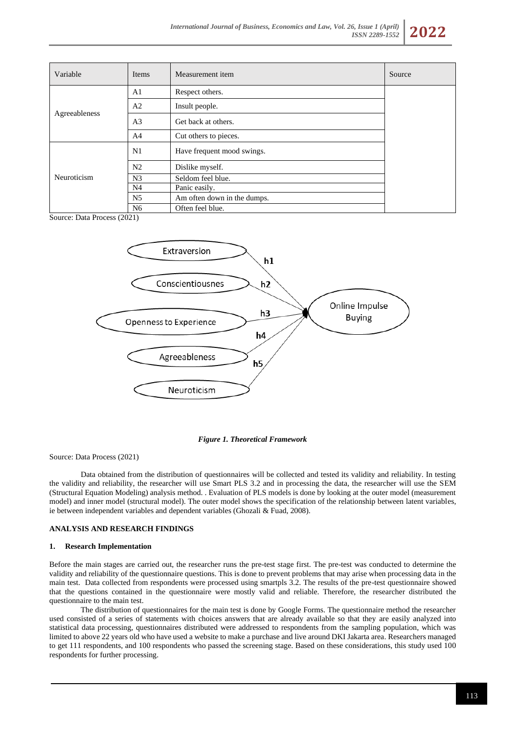

| Variable      | Items          | Measurement item            | Source |
|---------------|----------------|-----------------------------|--------|
| Agreeableness | A <sub>1</sub> | Respect others.             |        |
|               | A <sub>2</sub> | Insult people.              |        |
|               | A <sub>3</sub> | Get back at others.         |        |
|               | A <sup>4</sup> | Cut others to pieces.       |        |
| Neuroticism   | N1             | Have frequent mood swings.  |        |
|               | N <sub>2</sub> | Dislike myself.             |        |
|               | N <sub>3</sub> | Seldom feel blue.           |        |
|               | N <sub>4</sub> | Panic easily.               |        |
|               | N <sub>5</sub> | Am often down in the dumps. |        |
|               | N <sub>6</sub> | Often feel blue.            |        |

Source: Data Process (2021)



#### *Figure 1. Theoretical Framework*

Source: Data Process (2021)

Data obtained from the distribution of questionnaires will be collected and tested its validity and reliability. In testing the validity and reliability, the researcher will use Smart PLS 3.2 and in processing the data, the researcher will use the SEM (Structural Equation Modeling) analysis method. . Evaluation of PLS models is done by looking at the outer model (measurement model) and inner model (structural model). The outer model shows the specification of the relationship between latent variables, ie between independent variables and dependent variables (Ghozali & Fuad, 2008).

# **ANALYSIS AND RESEARCH FINDINGS**

#### **1. Research Implementation**

Before the main stages are carried out, the researcher runs the pre-test stage first. The pre-test was conducted to determine the validity and reliability of the questionnaire questions. This is done to prevent problems that may arise when processing data in the main test. Data collected from respondents were processed using smartpls 3.2. The results of the pre-test questionnaire showed that the questions contained in the questionnaire were mostly valid and reliable. Therefore, the researcher distributed the questionnaire to the main test.

The distribution of questionnaires for the main test is done by Google Forms. The questionnaire method the researcher used consisted of a series of statements with choices answers that are already available so that they are easily analyzed into statistical data processing, questionnaires distributed were addressed to respondents from the sampling population, which was limited to above 22 years old who have used a website to make a purchase and live around DKI Jakarta area. Researchers managed to get 111 respondents, and 100 respondents who passed the screening stage. Based on these considerations, this study used 100 respondents for further processing.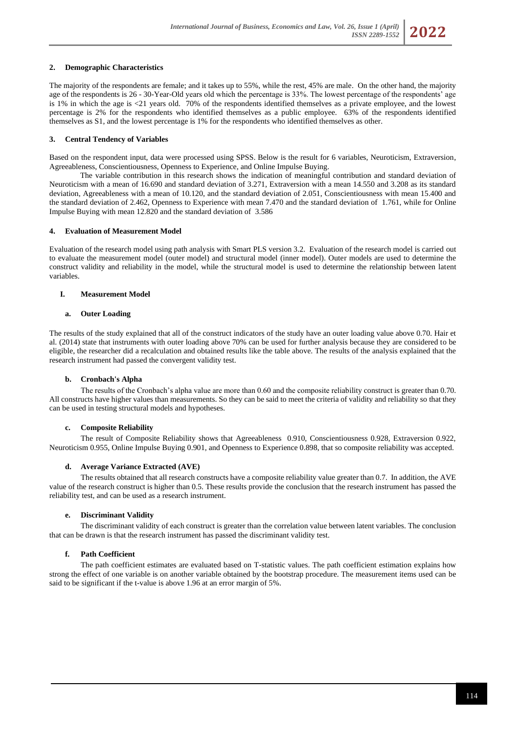# **2. Demographic Characteristics**

The majority of the respondents are female; and it takes up to 55%, while the rest, 45% are male. On the other hand, the majority age of the respondents is 26 - 30-Year-Old years old which the percentage is 33%. The lowest percentage of the respondents' age is 1% in which the age is <21 years old. 70% of the respondents identified themselves as a private employee, and the lowest percentage is 2% for the respondents who identified themselves as a public employee. 63% of the respondents identified themselves as S1, and the lowest percentage is 1% for the respondents who identified themselves as other.

# **3. Central Tendency of Variables**

Based on the respondent input, data were processed using SPSS. Below is the result for 6 variables, Neuroticism, Extraversion, Agreeableness, Conscientiousness, Openness to Experience, and Online Impulse Buying.

The variable contribution in this research shows the indication of meaningful contribution and standard deviation of Neuroticism with a mean of 16.690 and standard deviation of 3.271, Extraversion with a mean 14.550 and 3.208 as its standard deviation, Agreeableness with a mean of 10.120, and the standard deviation of 2.051, Conscientiousness with mean 15.400 and the standard deviation of 2.462, Openness to Experience with mean 7.470 and the standard deviation of 1.761, while for Online Impulse Buying with mean 12.820 and the standard deviation of 3.586

# **4. Evaluation of Measurement Model**

Evaluation of the research model using path analysis with Smart PLS version 3.2. Evaluation of the research model is carried out to evaluate the measurement model (outer model) and structural model (inner model). Outer models are used to determine the construct validity and reliability in the model, while the structural model is used to determine the relationship between latent variables.

# **I. Measurement Model**

# **a. Outer Loading**

The results of the study explained that all of the construct indicators of the study have an outer loading value above 0.70. Hair et al. (2014) state that instruments with outer loading above 70% can be used for further analysis because they are considered to be eligible, the researcher did a recalculation and obtained results like the table above. The results of the analysis explained that the research instrument had passed the convergent validity test.

# **b. Cronbach's Alpha**

The results of the Cronbach's alpha value are more than 0.60 and the composite reliability construct is greater than 0.70. All constructs have higher values than measurements. So they can be said to meet the criteria of validity and reliability so that they can be used in testing structural models and hypotheses.

# **c. Composite Reliability**

The result of Composite Reliability shows that Agreeableness 0.910, Conscientiousness 0.928, Extraversion 0.922, Neuroticism 0.955, Online Impulse Buying 0.901, and Openness to Experience 0.898, that so composite reliability was accepted.

# **d. Average Variance Extracted (AVE)**

The results obtained that all research constructs have a composite reliability value greater than 0.7. In addition, the AVE value of the research construct is higher than 0.5. These results provide the conclusion that the research instrument has passed the reliability test, and can be used as a research instrument.

# **e. Discriminant Validity**

The discriminant validity of each construct is greater than the correlation value between latent variables. The conclusion that can be drawn is that the research instrument has passed the discriminant validity test.

# **f. Path Coefficient**

The path coefficient estimates are evaluated based on T-statistic values. The path coefficient estimation explains how strong the effect of one variable is on another variable obtained by the bootstrap procedure. The measurement items used can be said to be significant if the t-value is above 1.96 at an error margin of 5%.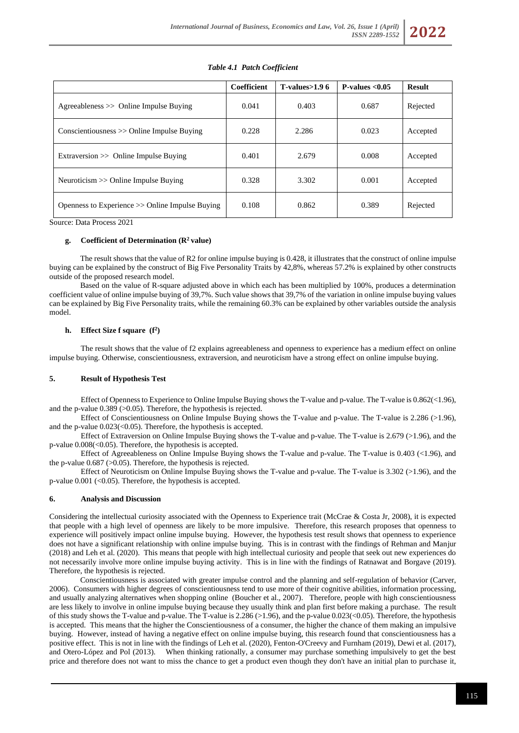| <b>Table 4.1 Patch Coefficient</b>            |             |                  |                   |               |  |  |  |  |
|-----------------------------------------------|-------------|------------------|-------------------|---------------|--|--|--|--|
|                                               | Coefficient | T-values $>1.96$ | P-values $< 0.05$ | <b>Result</b> |  |  |  |  |
| $A$ greeableness $\gg$ Online Impulse Buying  | 0.041       | 0.403            | 0.687             | Rejected      |  |  |  |  |
| $Conscientiousness \gg Online Impulse Buving$ | 0.228       | 2.286            | 0.023             | Accepted      |  |  |  |  |
| Extraversion >> Online Impulse Buying         | 0.401       | 2.679            | 0.008             | Accepted      |  |  |  |  |
| Neuroticism $\gg$ Online Impulse Buying       | 0.328       | 3.302            | 0.001             | Accepted      |  |  |  |  |

Source: Data Process 2021

#### **g. Coefficient of Determination (R<sup>2</sup>value)**

The result shows that the value of R2 for online impulse buying is 0.428, it illustrates that the construct of online impulse buying can be explained by the construct of Big Five Personality Traits by 42,8%, whereas 57.2% is explained by other constructs outside of the proposed research model.

Openness to Experience >> Online Impulse Buying 0.108 0.862 0.389 Rejected

Based on the value of R-square adjusted above in which each has been multiplied by 100%, produces a determination coefficient value of online impulse buying of 39,7%. Such value shows that 39,7% of the variation in online impulse buying values can be explained by Big Five Personality traits, while the remaining 60.3% can be explained by other variables outside the analysis model.

### **h. Effect Size f square (f<sup>2</sup> )**

The result shows that the value of f2 explains agreeableness and openness to experience has a medium effect on online impulse buying. Otherwise, conscientiousness, extraversion, and neuroticism have a strong effect on online impulse buying.

### **5. Result of Hypothesis Test**

Effect of Openness to Experience to Online Impulse Buying shows the T-value and p-value. The T-value is 0.862(<1.96), and the p-value  $0.389$  ( $>0.05$ ). Therefore, the hypothesis is rejected.

Effect of Conscientiousness on Online Impulse Buying shows the T-value and p-value. The T-value is 2.286 (>1.96), and the p-value  $0.023 \times 0.05$ . Therefore, the hypothesis is accepted.

Effect of Extraversion on Online Impulse Buying shows the T-value and p-value. The T-value is 2.679 (>1.96), and the p-value  $0.008 \times 0.05$ . Therefore, the hypothesis is accepted.

Effect of Agreeableness on Online Impulse Buying shows the T-value and p-value. The T-value is 0.403 (<1.96), and the p-value 0.687 (>0.05). Therefore, the hypothesis is rejected.

Effect of Neuroticism on Online Impulse Buying shows the T-value and p-value. The T-value is 3.302 (>1.96), and the p-value  $0.001$  (<0.05). Therefore, the hypothesis is accepted.

#### **6. Analysis and Discussion**

Considering the intellectual curiosity associated with the Openness to Experience trait (McCrae & Costa Jr, 2008), it is expected that people with a high level of openness are likely to be more impulsive. Therefore, this research proposes that openness to experience will positively impact online impulse buying. However, the hypothesis test result shows that openness to experience does not have a significant relationship with online impulse buying. This is in contrast with the findings of Rehman and Manjur (2018) and Leh et al. (2020). This means that people with high intellectual curiosity and people that seek out new experiences do not necessarily involve more online impulse buying activity. This is in line with the findings of Ratnawat and Borgave (2019). Therefore, the hypothesis is rejected.

Conscientiousness is associated with greater impulse control and the planning and self-regulation of behavior (Carver, 2006). Consumers with higher degrees of conscientiousness tend to use more of their cognitive abilities, information processing, and usually analyzing alternatives when shopping online (Boucher et al., 2007). Therefore, people with high conscientiousness are less likely to involve in online impulse buying because they usually think and plan first before making a purchase. The result of this study shows the T-value and p-value. The T-value is  $2.286$  ( $>1.96$ ), and the p-value 0.023( $<$ 0.05). Therefore, the hypothesis is accepted. This means that the higher the Conscientiousness of a consumer, the higher the chance of them making an impulsive buying. However, instead of having a negative effect on online impulse buying, this research found that conscientiousness has a positive effect. This is not in line with the findings of Leh et al. (2020), Fenton-O'Creevy and Furnham (2019), Dewi et al. (2017), and Otero-López and Pol (2013). When thinking rationally, a consumer may purchase something impulsively to get the best price and therefore does not want to miss the chance to get a product even though they don't have an initial plan to purchase it,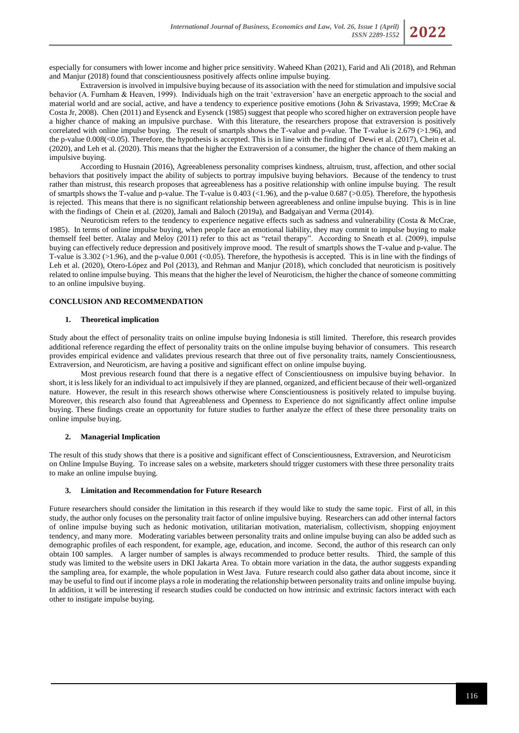especially for consumers with lower income and higher price sensitivity. Waheed Khan (2021), Farid and Ali (2018), and Rehman and Manjur (2018) found that conscientiousness positively affects online impulse buying.

Extraversion is involved in impulsive buying because of its association with the need for stimulation and impulsive social behavior (A. Furnham & Heaven, 1999). Individuals high on the trait 'extraversion' have an energetic approach to the social and material world and are social, active, and have a tendency to experience positive emotions (John & Srivastava, 1999; McCrae & Costa Jr, 2008). Chen (2011) and Eysenck and Eysenck (1985) suggest that people who scored higher on extraversion people have a higher chance of making an impulsive purchase. With this literature, the researchers propose that extraversion is positively correlated with online impulse buying. The result of smartpls shows the T-value and p-value. The T-value is 2.679 (>1.96), and the p-value  $0.008 \times (0.05)$ . Therefore, the hypothesis is accepted. This is in line with the finding of Dewi et al. (2017), Chein et al. (2020), and Leh et al. (2020). This means that the higher the Extraversion of a consumer, the higher the chance of them making an impulsive buying.

According to Husnain (2016), Agreeableness personality comprises kindness, altruism, trust, affection, and other social behaviors that positively impact the ability of subjects to portray impulsive buying behaviors. Because of the tendency to trust rather than mistrust, this research proposes that agreeableness has a positive relationship with online impulse buying. The result of smartpls shows the T-value and p-value. The T-value is  $0.403 \times 1.96$ , and the p-value 0.687 (>0.05). Therefore, the hypothesis is rejected. This means that there is no significant relationship between agreeableness and online impulse buying. This is in line with the findings of Chein et al. (2020), Jamali and Baloch (2019a), and Badgaiyan and Verma (2014).

Neuroticism refers to the tendency to experience negative effects such as sadness and vulnerability (Costa & McCrae, 1985). In terms of online impulse buying, when people face an emotional liability, they may commit to impulse buying to make themself feel better. Atalay and Meloy (2011) refer to this act as "retail therapy". According to Sneath et al. (2009), impulse buying can effectively reduce depression and positively improve mood. The result of smartpls shows the T-value and p-value. The T-value is  $3.302$  ( $>1.96$ ), and the p-value 0.001 (<0.05). Therefore, the hypothesis is accepted. This is in line with the findings of Leh et al. (2020), Otero-López and Pol (2013), and Rehman and Manjur (2018), which concluded that neuroticism is positively related to online impulse buying. This means that the higher the level of Neuroticism, the higher the chance of someone committing to an online impulsive buying.

# **CONCLUSION AND RECOMMENDATION**

### **1. Theoretical implication**

Study about the effect of personality traits on online impulse buying Indonesia is still limited. Therefore, this research provides additional reference regarding the effect of personality traits on the online impulse buying behavior of consumers. This research provides empirical evidence and validates previous research that three out of five personality traits, namely Conscientiousness, Extraversion, and Neuroticism, are having a positive and significant effect on online impulse buying.

Most previous research found that there is a negative effect of Conscientiousness on impulsive buying behavior. In short, it is less likely for an individual to act impulsively if they are planned, organized, and efficient because of their well-organized nature. However, the result in this research shows otherwise where Conscientiousness is positively related to impulse buying. Moreover, this research also found that Agreeableness and Openness to Experience do not significantly affect online impulse buying. These findings create an opportunity for future studies to further analyze the effect of these three personality traits on online impulse buying.

#### **2. Managerial Implication**

The result of this study shows that there is a positive and significant effect of Conscientiousness, Extraversion, and Neuroticism on Online Impulse Buying. To increase sales on a website, marketers should trigger customers with these three personality traits to make an online impulse buying.

### **3. Limitation and Recommendation for Future Research**

Future researchers should consider the limitation in this research if they would like to study the same topic. First of all, in this study, the author only focuses on the personality trait factor of online impulsive buying. Researchers can add other internal factors of online impulse buying such as hedonic motivation, utilitarian motivation, materialism, collectivism, shopping enjoyment tendency, and many more. Moderating variables between personality traits and online impulse buying can also be added such as demographic profiles of each respondent, for example, age, education, and income. Second, the author of this research can only obtain 100 samples. A larger number of samples is always recommended to produce better results. Third, the sample of this study was limited to the website users in DKI Jakarta Area. To obtain more variation in the data, the author suggests expanding the sampling area, for example, the whole population in West Java. Future research could also gather data about income, since it may be useful to find out if income plays a role in moderating the relationship between personality traits and online impulse buying. In addition, it will be interesting if research studies could be conducted on how intrinsic and extrinsic factors interact with each other to instigate impulse buying.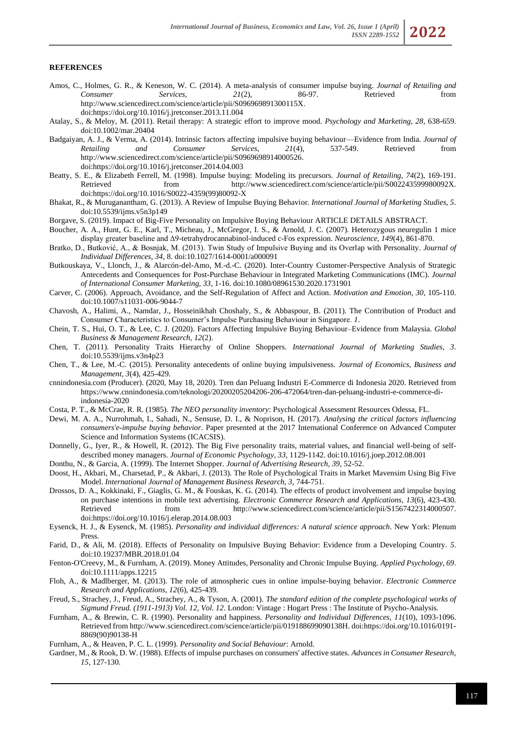# **REFERENCES**

- Amos, C., Holmes, G. R., & Keneson, W. C. (2014). A meta-analysis of consumer impulse buying. *Journal of Retailing and Consumer Services, 21*(2), 86-97. Retrieved from [http://www.sciencedirect.com/science/article/pii/S096969891300115X.](http://www.sciencedirect.com/science/article/pii/S096969891300115X) do[i:https://doi.org/10.1016/j.jretconser.2013.11.004](https://doi.org/10.1016/j.jretconser.2013.11.004)
- Atalay, S., & Meloy, M. (2011). Retail therapy: A strategic effort to improve mood. *Psychology and Marketing, 28*, 638-659. doi:10.1002/mar.20404
- Badgaiyan, A. J., & Verma, A. (2014). Intrinsic factors affecting impulsive buying behaviour—Evidence from India. *Journal of Retailing and Consumer Services, 21*(4), 537-549. Retrieved from [http://www.sciencedirect.com/science/article/pii/S0969698914000526.](http://www.sciencedirect.com/science/article/pii/S0969698914000526) do[i:https://doi.org/10.1016/j.jretconser.2014.04.003](https://doi.org/10.1016/j.jretconser.2014.04.003)
- Beatty, S. E., & Elizabeth Ferrell, M. (1998). Impulse buying: Modeling its precursors. *Journal of Retailing, 74*(2), 169-191. Retrieved from [http://www.sciencedirect.com/science/article/pii/S002243599980092X.](http://www.sciencedirect.com/science/article/pii/S002243599980092X) do[i:https://doi.org/10.1016/S0022-4359\(99\)80092-X](https://doi.org/10.1016/S0022-4359(99)80092-X)
- Bhakat, R., & Muruganantham, G. (2013). A Review of Impulse Buying Behavior. *International Journal of Marketing Studies, 5*. doi:10.5539/ijms.v5n3p149
- Borgave, S. (2019). Impact of Big-Five Personality on Impulsive Buying Behaviour ARTICLE DETAILS ABSTRACT.
- Boucher, A. A., Hunt, G. E., Karl, T., Micheau, J., McGregor, I. S., & Arnold, J. C. (2007). Heterozygous neuregulin 1 mice display greater baseline and Δ9-tetrahydrocannabinol-induced c-Fos expression. *Neuroscience, 149*(4), 861-870.
- Bratko, D., Butković, A., & Bosnjak, M. (2013). Twin Study of Impulsive Buying and its Overlap with Personality. *Journal of Individual Differences, 34*, 8. doi:10.1027/1614-0001/a000091
- Butkouskaya, V., Llonch, J., & Alarcón-del-Amo, M.-d.-C. (2020). Inter-Country Customer-Perspective Analysis of Strategic Antecedents and Consequences for Post-Purchase Behaviour in Integrated Marketing Communications (IMC). *Journal of International Consumer Marketing, 33*, 1-16. doi:10.1080/08961530.2020.1731901
- Carver, C. (2006). Approach, Avoidance, and the Self-Regulation of Affect and Action. *Motivation and Emotion, 30*, 105-110. doi:10.1007/s11031-006-9044-7
- Chavosh, A., Halimi, A., Namdar, J., Hosseinikhah Choshaly, S., & Abbaspour, B. (2011). The Contribution of Product and Consumer Characteristics to Consumer's Impulse Purchasing Behaviour in Singapore. *1*.
- Chein, T. S., Hui, O. T., & Lee, C. J. (2020). Factors Affecting Impulsive Buying Behaviour–Evidence from Malaysia. *Global Business & Management Research, 12*(2).
- Chen, T. (2011). Personality Traits Hierarchy of Online Shoppers. *International Journal of Marketing Studies, 3*. doi:10.5539/ijms.v3n4p23
- Chen, T., & Lee, M.-C. (2015). Personality antecedents of online buying impulsiveness. *Journal of Economics, Business and Management, 3*(4), 425-429.
- cnnindonesia.com (Producer). (2020, May 18, 2020). Tren dan Peluang Industri E-Commerce di Indonesia 2020. Retrieved from [https://www.cnnindonesia.com/teknologi/20200205204206-206-472064/tren-dan-peluang-industri-e-commerce-di](https://www.cnnindonesia.com/teknologi/20200205204206-206-472064/tren-dan-peluang-industri-e-commerce-di-indonesia-2020)[indonesia-2020](https://www.cnnindonesia.com/teknologi/20200205204206-206-472064/tren-dan-peluang-industri-e-commerce-di-indonesia-2020)
- Costa, P. T., & McCrae, R. R. (1985). *The NEO personality inventory*: Psychological Assessment Resources Odessa, FL.
- Dewi, M. A. A., Nurrohmah, I., Sahadi, N., Sensuse, D. I., & Noprison, H. (2017). *Analysing the critical factors influencing consumers'e-impulse buying behavior.* Paper presented at the 2017 International Conference on Advanced Computer Science and Information Systems (ICACSIS).
- Donnelly, G., Iyer, R., & Howell, R. (2012). The Big Five personality traits, material values, and financial well-being of selfdescribed money managers. *Journal of Economic Psychology, 33*, 1129-1142. doi:10.1016/j.joep.2012.08.001
- Donthu, N., & Garcia, A. (1999). The Internet Shopper. *Journal of Advertising Research, 39*, 52-52.
- Doost, H., Akbari, M., Charsetad, P., & Akbari, J. (2013). The Role of Psychological Traits in Market Mavensim Using Big Five Model. *International Journal of Management Business Research, 3*, 744-751.
- Drossos, D. A., Kokkinaki, F., Giaglis, G. M., & Fouskas, K. G. (2014). The effects of product involvement and impulse buying on purchase intentions in mobile text advertising. *Electronic Commerce Research and Applications, 13*(6), 423-430. Retrieved from [http://www.sciencedirect.com/science/article/pii/S1567422314000507.](http://www.sciencedirect.com/science/article/pii/S1567422314000507) do[i:https://doi.org/10.1016/j.elerap.2014.08.003](https://doi.org/10.1016/j.elerap.2014.08.003)
- Eysenck, H. J., & Eysenck, M. (1985). *Personality and individual differences: A natural science approach*. New York: Plenum Press.
- Farid, D., & Ali, M. (2018). Effects of Personality on Impulsive Buying Behavior: Evidence from a Developing Country. *5*. doi:10.19237/MBR.2018.01.04
- Fenton-O'Creevy, M., & Furnham, A. (2019). Money Attitudes, Personality and Chronic Impulse Buying. *Applied Psychology, 69*. doi:10.1111/apps.12215
- Floh, A., & Madlberger, M. (2013). The role of atmospheric cues in online impulse-buying behavior. *Electronic Commerce Research and Applications, 12*(6), 425-439.
- Freud, S., Strachey, J., Freud, A., Strachey, A., & Tyson, A. (2001). *The standard edition of the complete psychological works of Sigmund Freud. (1911-1913) Vol. 12, Vol. 12*. London: Vintage : Hogart Press : The Institute of Psycho-Analysis.
- Furnham, A., & Brewin, C. R. (1990). Personality and happiness. *Personality and Individual Differences, 11*(10), 1093-1096. Retrieved fro[m http://www.sciencedirect.com/science/article/pii/019188699090138H.](http://www.sciencedirect.com/science/article/pii/019188699090138H) doi[:https://doi.org/10.1016/0191-](https://doi.org/10.1016/0191-8869(90)90138-H) [8869\(90\)90138-H](https://doi.org/10.1016/0191-8869(90)90138-H)
- Furnham, A., & Heaven, P. C. L. (1999). *Personality and Social Behaviour*: Arnold.
- Gardner, M., & Rook, D. W. (1988). Effects of impulse purchases on consumers' affective states. *Advances in Consumer Research, 15*, 127-130.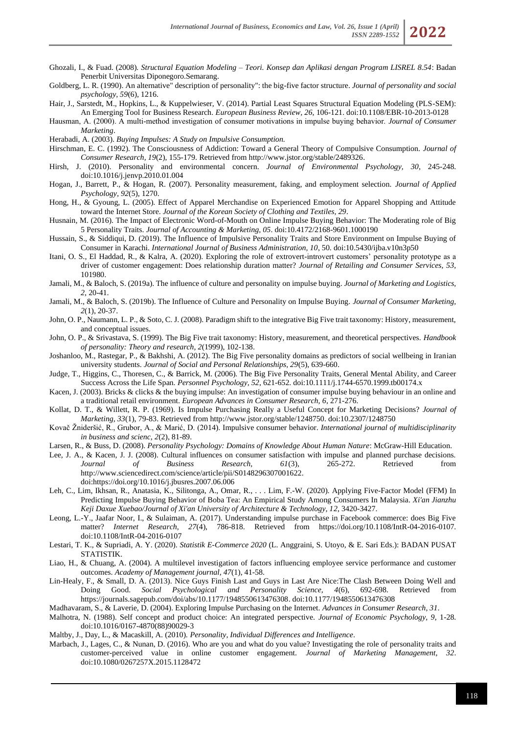- Ghozali, I., & Fuad. (2008). *Structural Equation Modeling – Teori. Konsep dan Aplikasi dengan Program LISREL 8.54*: Badan Penerbit Universitas Diponegoro.Semarang.
- Goldberg, L. R. (1990). An alternative" description of personality": the big-five factor structure. *Journal of personality and social psychology, 59*(6), 1216.
- Hair, J., Sarstedt, M., Hopkins, L., & Kuppelwieser, V. (2014). Partial Least Squares Structural Equation Modeling (PLS-SEM): An Emerging Tool for Business Research. *European Business Review, 26*, 106-121. doi:10.1108/EBR-10-2013-0128
- Hausman, A. (2000). A multi‐method investigation of consumer motivations in impulse buying behavior. *Journal of Consumer Marketing*.
- Herabadi, A. (2003). *Buying Impulses: A Study on Impulsive Consumption.*
- Hirschman, E. C. (1992). The Consciousness of Addiction: Toward a General Theory of Compulsive Consumption. *Journal of Consumer Research, 19*(2), 155-179. Retrieved fro[m http://www.jstor.org/stable/2489326.](http://www.jstor.org/stable/2489326)
- Hirsh, J. (2010). Personality and environmental concern. *Journal of Environmental Psychology, 30*, 245-248. doi:10.1016/j.jenvp.2010.01.004
- Hogan, J., Barrett, P., & Hogan, R. (2007). Personality measurement, faking, and employment selection. *Journal of Applied Psychology, 92*(5), 1270.
- Hong, H., & Gyoung, L. (2005). Effect of Apparel Merchandise on Experienced Emotion for Apparel Shopping and Attitude toward the Internet Store. *Journal of the Korean Society of Clothing and Textiles, 29*.
- Husnain, M. (2016). The Impact of Electronic Word-of-Mouth on Online Impulse Buying Behavior: The Moderating role of Big 5 Personality Traits. *Journal of Accounting & Marketing, 05*. doi:10.4172/2168-9601.1000190
- Hussain, S., & Siddiqui, D. (2019). The Influence of Impulsive Personality Traits and Store Environment on Impulse Buying of Consumer in Karachi. *International Journal of Business Administration, 10*, 50. doi:10.5430/ijba.v10n3p50
- Itani, O. S., El Haddad, R., & Kalra, A. (2020). Exploring the role of extrovert-introvert customers' personality prototype as a driver of customer engagement: Does relationship duration matter? *Journal of Retailing and Consumer Services, 53*, 101980.
- Jamali, M., & Baloch, S. (2019a). The influence of culture and personality on impulse buying. *Journal of Marketing and Logistics, 2*, 20-41.
- Jamali, M., & Baloch, S. (2019b). The Influence of Culture and Personality on Impulse Buying. *Journal of Consumer Marketing, 2*(1), 20-37.
- John, O. P., Naumann, L. P., & Soto, C. J. (2008). Paradigm shift to the integrative Big Five trait taxonomy: History, measurement, and conceptual issues.
- John, O. P., & Srivastava, S. (1999). The Big Five trait taxonomy: History, measurement, and theoretical perspectives. *Handbook of personality: Theory and research, 2*(1999), 102-138.
- Joshanloo, M., Rastegar, P., & Bakhshi, A. (2012). The Big Five personality domains as predictors of social wellbeing in Iranian university students. *Journal of Social and Personal Relationships, 29*(5), 639-660.
- Judge, T., Higgins, C., Thoresen, C., & Barrick, M. (2006). The Big Five Personality Traits, General Mental Ability, and Career Success Across the Life Span. *Personnel Psychology, 52*, 621-652. doi:10.1111/j.1744-6570.1999.tb00174.x
- Kacen, J. (2003). Bricks & clicks & the buying impulse: An investigation of consumer impulse buying behaviour in an online and a traditional retail environment. *European Advances in Consumer Research, 6*, 271-276.
- Kollat, D. T., & Willett, R. P. (1969). Is Impulse Purchasing Really a Useful Concept for Marketing Decisions? *Journal of Marketing, 33*(1), 79-83. Retrieved from [http://www.jstor.org/stable/1248750.](http://www.jstor.org/stable/1248750) doi:10.2307/1248750
- Kovač Žnideršić, R., Grubor, A., & Marić, D. (2014). Impulsive consumer behavior. *International journal of multidisciplinarity in business and scienc, 2*(2), 81-89.
- Larsen, R., & Buss, D. (2008). *Personality Psychology: Domains of Knowledge About Human Nature*: McGraw-Hill Education.
- Lee, J. A., & Kacen, J. J. (2008). Cultural influences on consumer satisfaction with impulse and planned purchase decisions. *Journal of Business Research, 61*(3), 265-272. Retrieved from [http://www.sciencedirect.com/science/article/pii/S0148296307001622.](http://www.sciencedirect.com/science/article/pii/S0148296307001622) do[i:https://doi.org/10.1016/j.jbusres.2007.06.006](https://doi.org/10.1016/j.jbusres.2007.06.006)
- Leh, C., Lim, Ikhsan, R., Anatasia, K., Silitonga, A., Omar, R., . . . Lim, F.-W. (2020). Applying Five-Factor Model (FFM) In Predicting Impulse Buying Behavior of Boba Tea: An Empirical Study Among Consumers In Malaysia. *Xi'an Jianzhu Keji Daxue Xuebao/Journal of Xi'an University of Architecture & Technology, 12*, 3420-3427.
- Leong, L.-Y., Jaafar Noor, I., & Sulaiman, A. (2017). Understanding impulse purchase in Facebook commerce: does Big Five matter? *Internet Research, 27*(4), 786-818. Retrieved from [https://doi.org/10.1108/IntR-04-2016-0107.](https://doi.org/10.1108/IntR-04-2016-0107) doi:10.1108/IntR-04-2016-0107
- Lestari, T. K., & Supriadi, A. Y. (2020). *Statistik E-Commerce 2020* (L. Anggraini, S. Utoyo, & E. Sari Eds.): BADAN PUSAT STATISTIK.
- Liao, H., & Chuang, A. (2004). A multilevel investigation of factors influencing employee service performance and customer outcomes. *Academy of Management journal, 47*(1), 41-58.
- Lin-Healy, F., & Small, D. A. (2013). Nice Guys Finish Last and Guys in Last Are Nice:The Clash Between Doing Well and Doing Good. *Social Psychological and Personality Science, 4*(6), 692-698. Retrieved from [https://journals.sagepub.com/doi/abs/10.1177/1948550613476308.](https://journals.sagepub.com/doi/abs/10.1177/1948550613476308) doi:10.1177/1948550613476308
- Madhavaram, S., & Laverie, D. (2004). Exploring Impulse Purchasing on the Internet. *Advances in Consumer Research, 31*.
- Malhotra, N. (1988). Self concept and product choice: An integrated perspective. *Journal of Economic Psychology, 9*, 1-28. doi:10.1016/0167-4870(88)90029-3

Maltby, J., Day, L., & Macaskill, A. (2010). *Personality, Individual Differences and Intelligence*.

Marbach, J., Lages, C., & Nunan, D. (2016). Who are you and what do you value? Investigating the role of personality traits and customer-perceived value in online customer engagement. *Journal of Marketing Management, 32*. doi:10.1080/0267257X.2015.1128472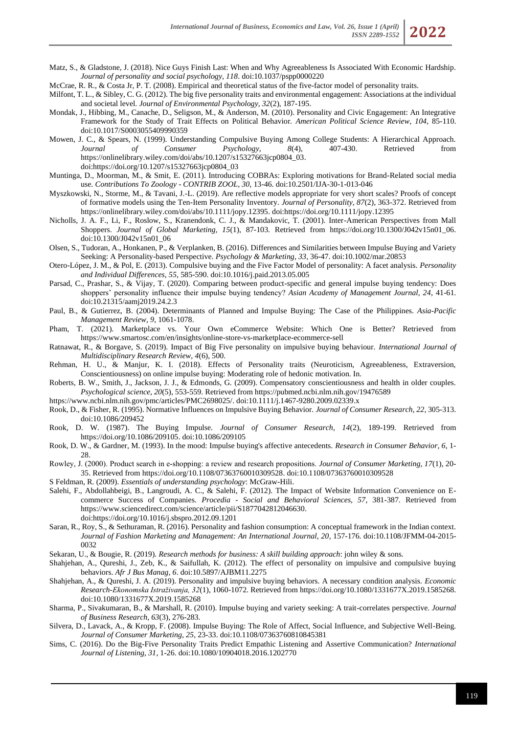- Matz, S., & Gladstone, J. (2018). Nice Guys Finish Last: When and Why Agreeableness Is Associated With Economic Hardship. *Journal of personality and social psychology, 118*. doi:10.1037/pspp0000220
- McCrae, R. R., & Costa Jr, P. T. (2008). Empirical and theoretical status of the five-factor model of personality traits.
- Milfont, T. L., & Sibley, C. G. (2012). The big five personality traits and environmental engagement: Associations at the individual and societal level. *Journal of Environmental Psychology, 32*(2), 187-195.
- Mondak, J., Hibbing, M., Canache, D., Seligson, M., & Anderson, M. (2010). Personality and Civic Engagement: An Integrative Framework for the Study of Trait Effects on Political Behavior. *American Political Science Review, 104*, 85-110. doi:10.1017/S0003055409990359
- Mowen, J. C., & Spears, N. (1999). Understanding Compulsive Buying Among College Students: A Hierarchical Approach.<br>
Journal of Consumer Psychology, 8(4), 407-430. Retrieved from *Journal of Consumer Psychology, 8*(4), 407-430. Retrieved from [https://onlinelibrary.wiley.com/doi/abs/10.1207/s15327663jcp0804\\_03.](https://onlinelibrary.wiley.com/doi/abs/10.1207/s15327663jcp0804_03) do[i:https://doi.org/10.1207/s15327663jcp0804\\_03](https://doi.org/10.1207/s15327663jcp0804_03)
- Muntinga, D., Moorman, M., & Smit, E. (2011). Introducing COBRAs: Exploring motivations for Brand-Related social media use. *Contributions To Zoology - CONTRIB ZOOL, 30*, 13-46. doi:10.2501/IJA-30-1-013-046
- Myszkowski, N., Storme, M., & Tavani, J.-L. (2019). Are reflective models appropriate for very short scales? Proofs of concept of formative models using the Ten-Item Personality Inventory. *Journal of Personality, 87*(2), 363-372. Retrieved from [https://onlinelibrary.wiley.com/doi/abs/10.1111/jopy.12395.](https://onlinelibrary.wiley.com/doi/abs/10.1111/jopy.12395) doi[:https://doi.org/10.1111/jopy.12395](https://doi.org/10.1111/jopy.12395)
- Nicholls, J. A. F., Li, F., Roslow, S., Kranendonk, C. J., & Mandakovic, T. (2001). Inter-American Perspectives from Mall Shoppers. *Journal of Global Marketing, 15*(1), 87-103. Retrieved from [https://doi.org/10.1300/J042v15n01\\_06.](https://doi.org/10.1300/J042v15n01_06) doi:10.1300/J042v15n01\_06
- Olsen, S., Tudoran, A., Honkanen, P., & Verplanken, B. (2016). Differences and Similarities between Impulse Buying and Variety Seeking: A Personality-based Perspective. *Psychology & Marketing, 33*, 36-47. doi:10.1002/mar.20853
- Otero-López, J. M., & Pol, E. (2013). Compulsive buying and the Five Factor Model of personality: A facet analysis. *Personality and Individual Differences, 55*, 585-590. doi:10.1016/j.paid.2013.05.005
- Parsad, C., Prashar, S., & Vijay, T. (2020). Comparing between product-specific and general impulse buying tendency: Does shoppers' personality influence their impulse buying tendency? *Asian Academy of Management Journal, 24*, 41-61. doi:10.21315/aamj2019.24.2.3
- Paul, B., & Gutierrez, B. (2004). Determinants of Planned and Impulse Buying: The Case of the Philippines. *Asia-Pacific Management Review, 9*, 1061-1078.
- Pham, T. (2021). Marketplace vs. Your Own eCommerce Website: Which One is Better? Retrieved from <https://www.smartosc.com/en/insights/online-store-vs-marketplace-ecommerce-sell>
- Ratnawat, R., & Borgave, S. (2019). Impact of Big Five personality on impulsive buying behaviour. *International Journal of Multidisciplinary Research Review, 4*(6), 500.
- Rehman, H. U., & Manjur, K. I. (2018). Effects of Personality traits (Neuroticism, Agreeableness, Extraversion, Conscientiousness) on online impulse buying: Moderating role of hedonic motivation. In.
- Roberts, B. W., Smith, J., Jackson, J. J., & Edmonds, G. (2009). Compensatory conscientiousness and health in older couples. *Psychological science, 20*(5), 553-559. Retrieved fro[m https://pubmed.ncbi.nlm.nih.gov/19476589](https://pubmed.ncbi.nlm.nih.gov/19476589)
- [https://www.ncbi.nlm.nih.gov/pmc/articles/PMC2698025/.](https://www.ncbi.nlm.nih.gov/pmc/articles/PMC2698025/) doi:10.1111/j.1467-9280.2009.02339.x
- Rook, D., & Fisher, R. (1995). Normative Influences on Impulsive Buying Behavior. *Journal of Consumer Research, 22*, 305-313. doi:10.1086/209452
- Rook, D. W. (1987). The Buying Impulse. *Journal of Consumer Research, 14*(2), 189-199. Retrieved from [https://doi.org/10.1086/209105.](https://doi.org/10.1086/209105) doi:10.1086/209105
- Rook, D. W., & Gardner, M. (1993). In the mood: Impulse buying's affective antecedents. *Research in Consumer Behavior, 6*, 1- 28.
- Rowley, J. (2000). Product search in e‐shopping: a review and research propositions. *Journal of Consumer Marketing, 17*(1), 20- 35. Retrieved from [https://doi.org/10.1108/07363760010309528.](https://doi.org/10.1108/07363760010309528) doi:10.1108/07363760010309528
- S Feldman, R. (2009). *Essentials of understanding psychology*: McGraw-Hili.
- Salehi, F., Abdollahbeigi, B., Langroudi, A. C., & Salehi, F. (2012). The Impact of Website Information Convenience on Ecommerce Success of Companies. *Procedia - Social and Behavioral Sciences, 57*, 381-387. Retrieved from [https://www.sciencedirect.com/science/article/pii/S1877042812046630.](https://www.sciencedirect.com/science/article/pii/S1877042812046630) do[i:https://doi.org/10.1016/j.sbspro.2012.09.1201](https://doi.org/10.1016/j.sbspro.2012.09.1201)
- Saran, R., Roy, S., & Sethuraman, R. (2016). Personality and fashion consumption: A conceptual framework in the Indian context. *Journal of Fashion Marketing and Management: An International Journal, 20*, 157-176. doi:10.1108/JFMM-04-2015- 0032
- Sekaran, U., & Bougie, R. (2019). *Research methods for business: A skill building approach*: john wiley & sons.
- Shahjehan, A., Qureshi, J., Zeb, K., & Saifullah, K. (2012). The effect of personality on impulsive and compulsive buying behaviors. *Afr J Bus Manag, 6*. doi:10.5897/AJBM11.2275
- Shahjehan, A., & Qureshi, J. A. (2019). Personality and impulsive buying behaviors. A necessary condition analysis. *Economic Research-Ekonomska Istraživanja, 32*(1), 1060-1072. Retrieved from [https://doi.org/10.1080/1331677X.2019.1585268.](https://doi.org/10.1080/1331677X.2019.1585268) doi:10.1080/1331677X.2019.1585268
- Sharma, P., Sivakumaran, B., & Marshall, R. (2010). Impulse buying and variety seeking: A trait-correlates perspective. *Journal of Business Research, 63*(3), 276-283.
- Silvera, D., Lavack, A., & Kropp, F. (2008). Impulse Buying: The Role of Affect, Social Influence, and Subjective Well-Being. *Journal of Consumer Marketing, 25*, 23-33. doi:10.1108/07363760810845381
- Sims, C. (2016). Do the Big-Five Personality Traits Predict Empathic Listening and Assertive Communication? *International Journal of Listening, 31*, 1-26. doi:10.1080/10904018.2016.1202770